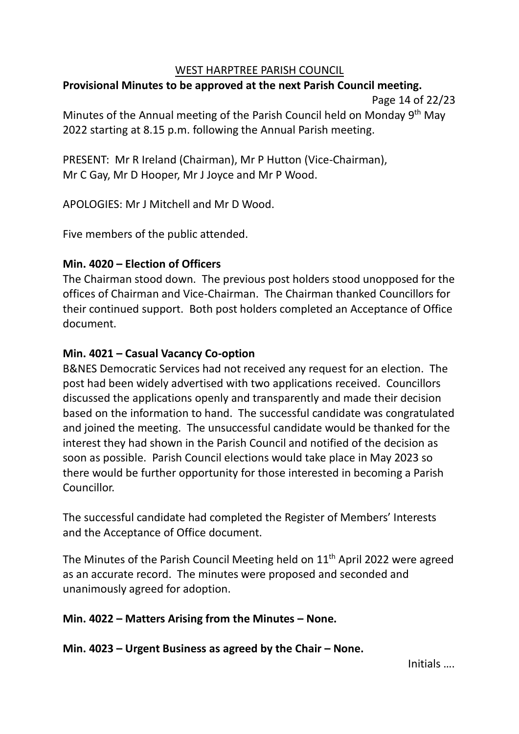### WEST HARPTREE PARISH COUNCIL

# **Provisional Minutes to be approved at the next Parish Council meeting.**

Page 14 of 22/23

Minutes of the Annual meeting of the Parish Council held on Monday 9<sup>th</sup> May 2022 starting at 8.15 p.m. following the Annual Parish meeting.

PRESENT: Mr R Ireland (Chairman), Mr P Hutton (Vice-Chairman), Mr C Gay, Mr D Hooper, Mr J Joyce and Mr P Wood.

APOLOGIES: Mr J Mitchell and Mr D Wood.

Five members of the public attended.

# **Min. 4020 – Election of Officers**

The Chairman stood down. The previous post holders stood unopposed for the offices of Chairman and Vice-Chairman. The Chairman thanked Councillors for their continued support. Both post holders completed an Acceptance of Office document.

# **Min. 4021 – Casual Vacancy Co-option**

B&NES Democratic Services had not received any request for an election. The post had been widely advertised with two applications received. Councillors discussed the applications openly and transparently and made their decision based on the information to hand. The successful candidate was congratulated and joined the meeting. The unsuccessful candidate would be thanked for the interest they had shown in the Parish Council and notified of the decision as soon as possible. Parish Council elections would take place in May 2023 so there would be further opportunity for those interested in becoming a Parish Councillor.

The successful candidate had completed the Register of Members' Interests and the Acceptance of Office document.

The Minutes of the Parish Council Meeting held on  $11<sup>th</sup>$  April 2022 were agreed as an accurate record. The minutes were proposed and seconded and unanimously agreed for adoption.

# **Min. 4022 – Matters Arising from the Minutes – None.**

**Min. 4023 – Urgent Business as agreed by the Chair – None.**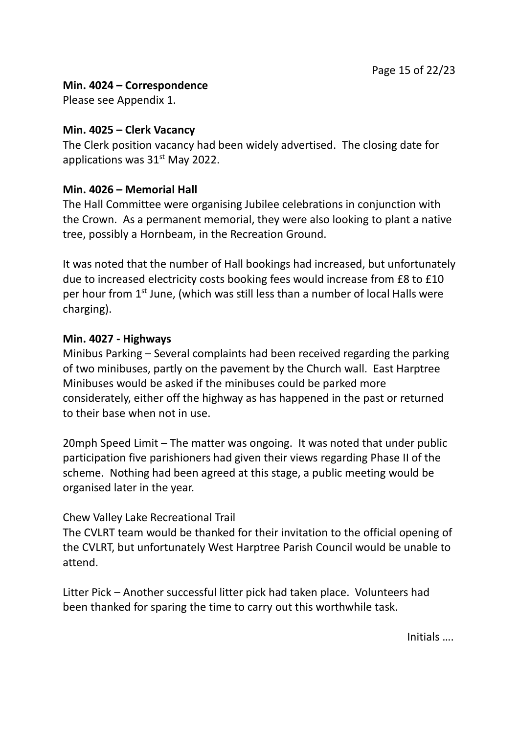# **Min. 4024 – Correspondence**

Please see Appendix 1.

### **Min. 4025 – Clerk Vacancy**

The Clerk position vacancy had been widely advertised. The closing date for applications was 31<sup>st</sup> May 2022.

# **Min. 4026 – Memorial Hall**

The Hall Committee were organising Jubilee celebrations in conjunction with the Crown. As a permanent memorial, they were also looking to plant a native tree, possibly a Hornbeam, in the Recreation Ground.

It was noted that the number of Hall bookings had increased, but unfortunately due to increased electricity costs booking fees would increase from £8 to £10 per hour from  $1<sup>st</sup>$  June, (which was still less than a number of local Halls were charging).

### **Min. 4027 - Highways**

Minibus Parking – Several complaints had been received regarding the parking of two minibuses, partly on the pavement by the Church wall. East Harptree Minibuses would be asked if the minibuses could be parked more considerately, either off the highway as has happened in the past or returned to their base when not in use.

20mph Speed Limit – The matter was ongoing. It was noted that under public participation five parishioners had given their views regarding Phase II of the scheme. Nothing had been agreed at this stage, a public meeting would be organised later in the year.

# Chew Valley Lake Recreational Trail

The CVLRT team would be thanked for their invitation to the official opening of the CVLRT, but unfortunately West Harptree Parish Council would be unable to attend.

Litter Pick – Another successful litter pick had taken place. Volunteers had been thanked for sparing the time to carry out this worthwhile task.

Initials ….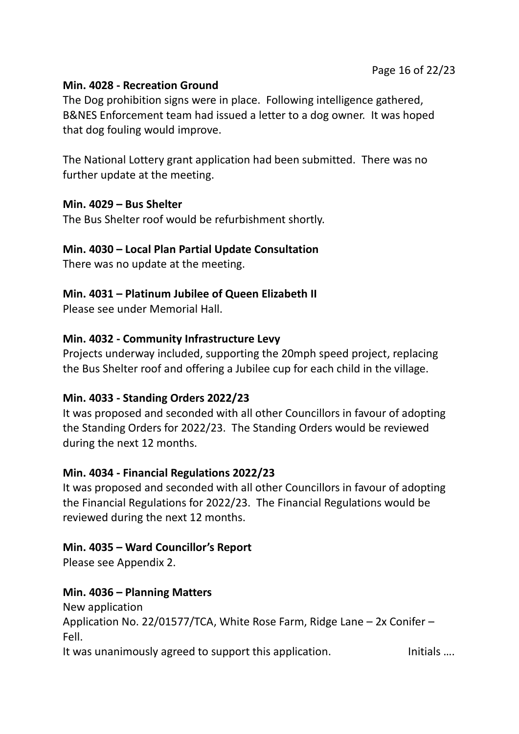# **Min. 4028 - Recreation Ground**

The Dog prohibition signs were in place. Following intelligence gathered, B&NES Enforcement team had issued a letter to a dog owner. It was hoped that dog fouling would improve.

The National Lottery grant application had been submitted. There was no further update at the meeting.

### **Min. 4029 – Bus Shelter**

The Bus Shelter roof would be refurbishment shortly.

# **Min. 4030 – Local Plan Partial Update Consultation**

There was no update at the meeting.

# **Min. 4031 – Platinum Jubilee of Queen Elizabeth II**

Please see under Memorial Hall.

# **Min. 4032 - Community Infrastructure Levy**

Projects underway included, supporting the 20mph speed project, replacing the Bus Shelter roof and offering a Jubilee cup for each child in the village.

# **Min. 4033 - Standing Orders 2022/23**

It was proposed and seconded with all other Councillors in favour of adopting the Standing Orders for 2022/23. The Standing Orders would be reviewed during the next 12 months.

# **Min. 4034 - Financial Regulations 2022/23**

It was proposed and seconded with all other Councillors in favour of adopting the Financial Regulations for 2022/23. The Financial Regulations would be reviewed during the next 12 months.

# **Min. 4035 – Ward Councillor's Report**

Please see Appendix 2.

# **Min. 4036 – Planning Matters**

New application Application No. 22/01577/TCA, White Rose Farm, Ridge Lane – 2x Conifer – Fell.

It was unanimously agreed to support this application. Initials ....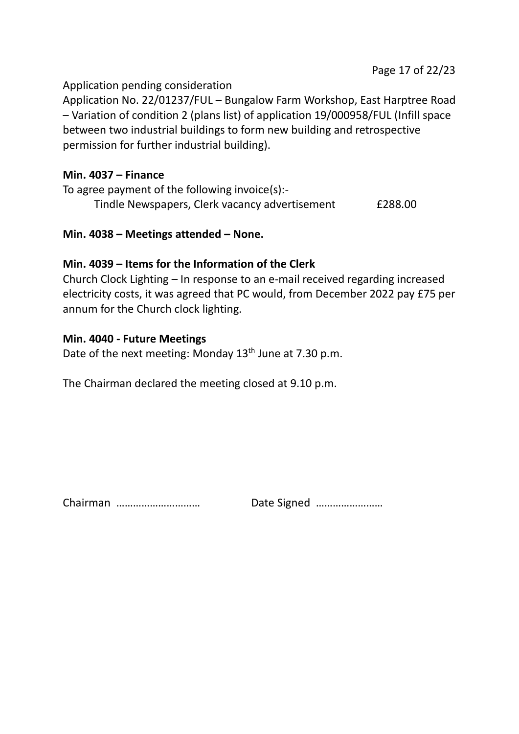### Application pending consideration

Application No. 22/01237/FUL – Bungalow Farm Workshop, East Harptree Road – Variation of condition 2 (plans list) of application 19/000958/FUL (Infill space between two industrial buildings to form new building and retrospective permission for further industrial building).

#### **Min. 4037 – Finance**

To agree payment of the following invoice(s):- Tindle Newspapers, Clerk vacancy advertisement £288.00

### **Min. 4038 – Meetings attended – None.**

# **Min. 4039 – Items for the Information of the Clerk**

Church Clock Lighting – In response to an e-mail received regarding increased electricity costs, it was agreed that PC would, from December 2022 pay £75 per annum for the Church clock lighting.

### **Min. 4040 - Future Meetings**

Date of the next meeting: Monday  $13<sup>th</sup>$  June at 7.30 p.m.

The Chairman declared the meeting closed at 9.10 p.m.

Chairman ………………………… Date Signed ……………………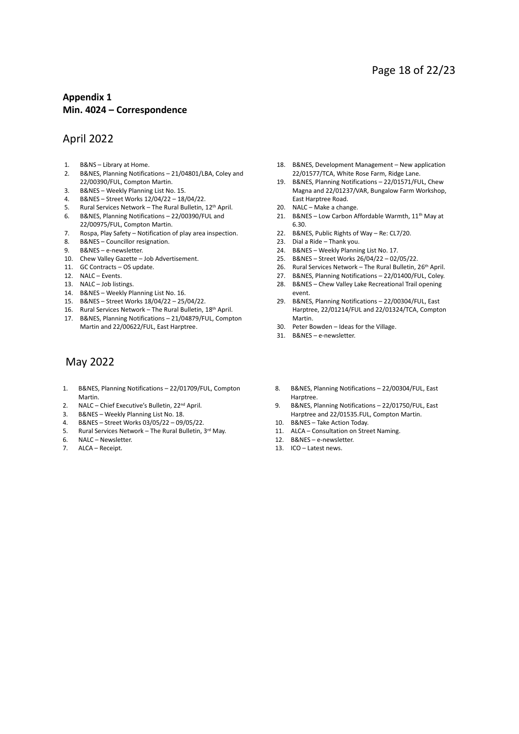#### **Appendix 1 Min. 4024 – Correspondence**

#### April 2022

- 1. B&NS Library at Home.
- 2. B&NES, Planning Notifications 21/04801/LBA, Coley and 22/00390/FUL, Compton Martin.
- 3. B&NES Weekly Planning List No. 15.
- 4. B&NES Street Works 12/04/22 18/04/22.
- 5. Rural Services Network The Rural Bulletin, 12<sup>th</sup> April.
- 6. B&NES, Planning Notifications 22/00390/FUL and 22/00975/FUL, Compton Martin.
- 7. Rospa, Play Safety Notification of play area inspection.
- 8. B&NES Councillor resignation.
- 9. B&NES e-newsletter.
- 10. Chew Valley Gazette Job Advertisement.
- 11. GC Contracts OS update.
- 12. NALC Events.
- 13. NALC Job listings.
- 14. B&NES Weekly Planning List No. 16.
- 15. B&NES Street Works 18/04/22 25/04/22.
- 16. Rural Services Network The Rural Bulletin, 18<sup>th</sup> April.
- 17. B&NES, Planning Notifications 21/04879/FUL, Compton Martin and 22/00622/FUL, East Harptree.

#### May 2022

- 1. B&NES, Planning Notifications 22/01709/FUL, Compton Martin.
- 2. NALC Chief Executive's Bulletin, 22<sup>nd</sup> April.
- 3. B&NES Weekly Planning List No. 18.
- 4. B&NES Street Works 03/05/22 09/05/22.
- 5. Rural Services Network The Rural Bulletin, 3rd May. 5. Rural Services Netw<br>6. NALC – Newsletter.
- 
- 7. ALCA Receipt.
- 18. B&NES, Development Management New application 22/01577/TCA, White Rose Farm, Ridge Lane.
- 19. B&NES, Planning Notifications 22/01571/FUL, Chew Magna and 22/01237/VAR, Bungalow Farm Workshop, East Harptree Road.
- 20. NALC Make a change.
- 21. B&NES Low Carbon Affordable Warmth,  $11<sup>th</sup>$  May at 6.30.
- 22. B&NES, Public Rights of Way Re: CL7/20.
- 23. Dial a Ride Thank you.
- 24. B&NES Weekly Planning List No. 17.
- 25. B&NES Street Works 26/04/22 02/05/22.
- 26. Rural Services Network The Rural Bulletin, 26<sup>th</sup> April.
- 27. B&NES, Planning Notifications 22/01400/FUL, Coley.
- 28. B&NES Chew Valley Lake Recreational Trail opening event.
- 29. B&NES, Planning Notifications 22/00304/FUL, East Harptree, 22/01214/FUL and 22/01324/TCA, Compton Martin.
- 30. Peter Bowden Ideas for the Village.
- 31. B&NES e-newsletter.
- 8. B&NES, Planning Notifications 22/00304/FUL, East Harptree.
- 9. B&NES, Planning Notifications 22/01750/FUL, East Harptree and 22/01535.FUL, Compton Martin.
- 10. B&NES Take Action Today.
- 11. ALCA Consultation on Street Naming.
- 12. B&NES e-newsletter.
- 13. ICO Latest news.